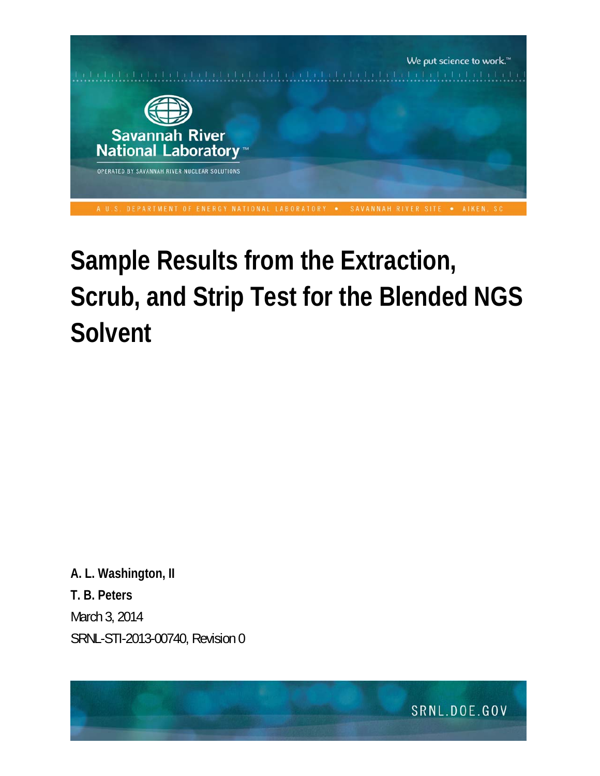

# **Sample Results from the Extraction, Scrub, and Strip Test for the Blended NGS Solvent**

**A. L. Washington, II T. B. Peters**  March 3, 2014 SRNL-STI-2013-00740, Revision 0

SRNL.DOE.GOV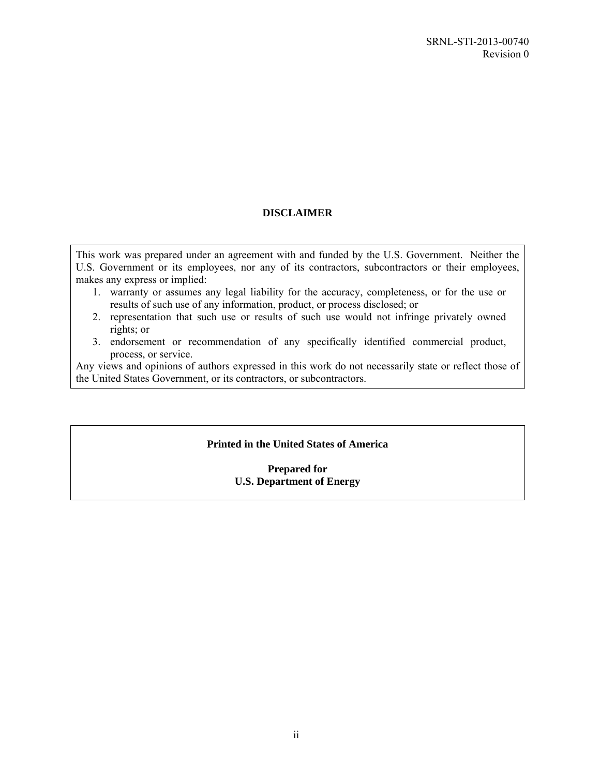### **DISCLAIMER**

This work was prepared under an agreement with and funded by the U.S. Government. Neither the U.S. Government or its employees, nor any of its contractors, subcontractors or their employees, makes any express or implied:

- 1. warranty or assumes any legal liability for the accuracy, completeness, or for the use or results of such use of any information, product, or process disclosed; or
- 2. representation that such use or results of such use would not infringe privately owned rights; or
- 3. endorsement or recommendation of any specifically identified commercial product, process, or service.

Any views and opinions of authors expressed in this work do not necessarily state or reflect those of the United States Government, or its contractors, or subcontractors.

### **Printed in the United States of America**

### **Prepared for U.S. Department of Energy**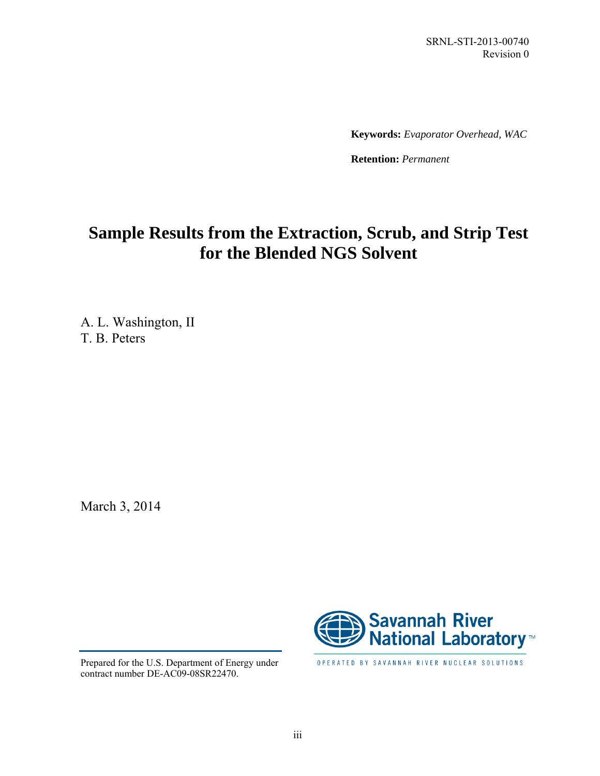**Keywords:** *Evaporator Overhead, WAC*

**Retention:** *Permanent*

# **Sample Results from the Extraction, Scrub, and Strip Test for the Blended NGS Solvent**

A. L. Washington, II T. B. Peters

March 3, 2014



OPERATED BY SAVANNAH RIVER NUCLEAR SOLUTIONS

Prepared for the U.S. Department of Energy under contract number DE-AC09-08SR22470.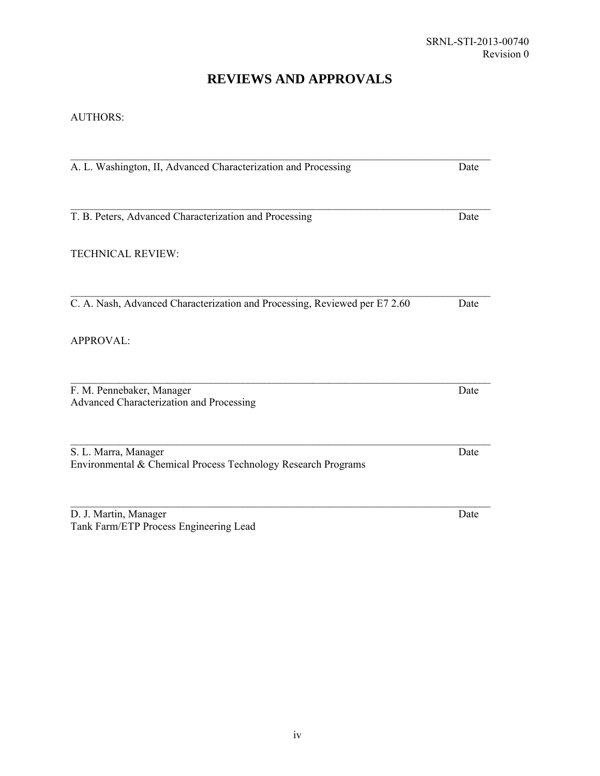# **REVIEWS AND APPROVALS**

#### AUTHORS:

| A. L. Washington, II, Advanced Characterization and Processing                        | Date |
|---------------------------------------------------------------------------------------|------|
|                                                                                       |      |
| T. B. Peters, Advanced Characterization and Processing                                | Date |
| <b>TECHNICAL REVIEW:</b>                                                              |      |
| C. A. Nash, Advanced Characterization and Processing, Reviewed per E7 2.60            | Date |
| APPROVAL:                                                                             |      |
| F. M. Pennebaker, Manager<br>Advanced Characterization and Processing                 | Date |
| S. L. Marra, Manager<br>Environmental & Chemical Process Technology Research Programs | Date |
|                                                                                       | Date |
| D. J. Martin, Manager<br>Tank Farm/ETP Process Engineering Lead                       |      |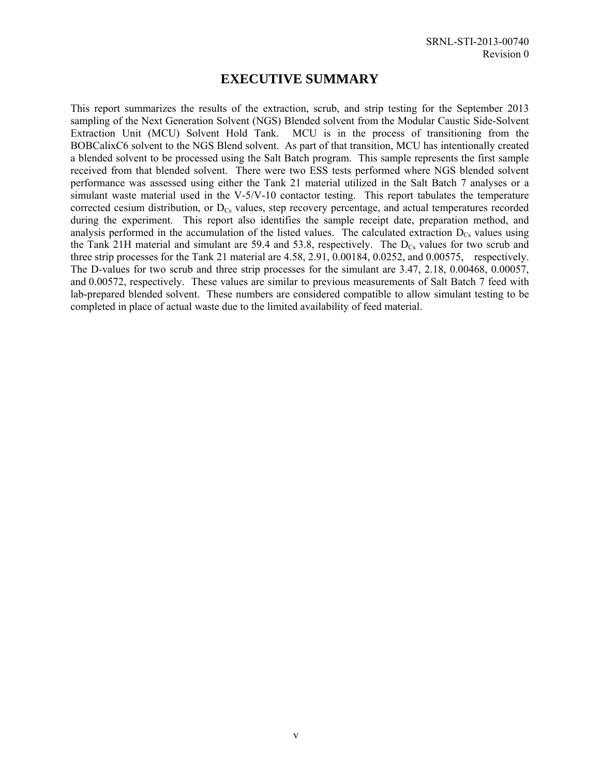### **EXECUTIVE SUMMARY**

This report summarizes the results of the extraction, scrub, and strip testing for the September 2013 sampling of the Next Generation Solvent (NGS) Blended solvent from the Modular Caustic Side-Solvent Extraction Unit (MCU) Solvent Hold Tank. MCU is in the process of transitioning from the BOBCalixC6 solvent to the NGS Blend solvent. As part of that transition, MCU has intentionally created a blended solvent to be processed using the Salt Batch program. This sample represents the first sample received from that blended solvent. There were two ESS tests performed where NGS blended solvent performance was assessed using either the Tank 21 material utilized in the Salt Batch 7 analyses or a simulant waste material used in the V-5/V-10 contactor testing. This report tabulates the temperature corrected cesium distribution, or  $D_{Cs}$  values, step recovery percentage, and actual temperatures recorded during the experiment. This report also identifies the sample receipt date, preparation method, and analysis performed in the accumulation of the listed values. The calculated extraction  $D_{Cs}$  values using the Tank 21H material and simulant are 59.4 and 53.8, respectively. The  $D_{Cs}$  values for two scrub and three strip processes for the Tank 21 material are 4.58, 2.91, 0.00184, 0.0252, and 0.00575, respectively. The D-values for two scrub and three strip processes for the simulant are 3.47, 2.18, 0.00468, 0.00057, and 0.00572, respectively. These values are similar to previous measurements of Salt Batch 7 feed with lab-prepared blended solvent. These numbers are considered compatible to allow simulant testing to be completed in place of actual waste due to the limited availability of feed material.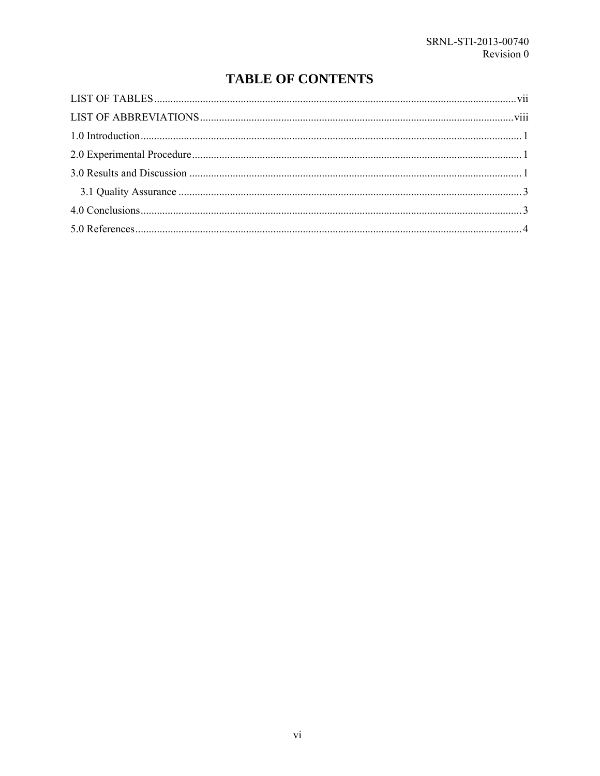# **TABLE OF CONTENTS**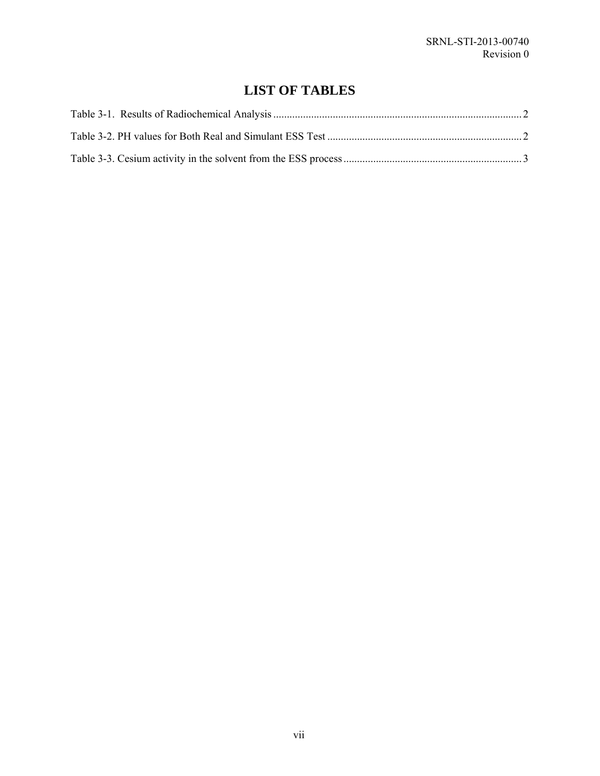# **LIST OF TABLES**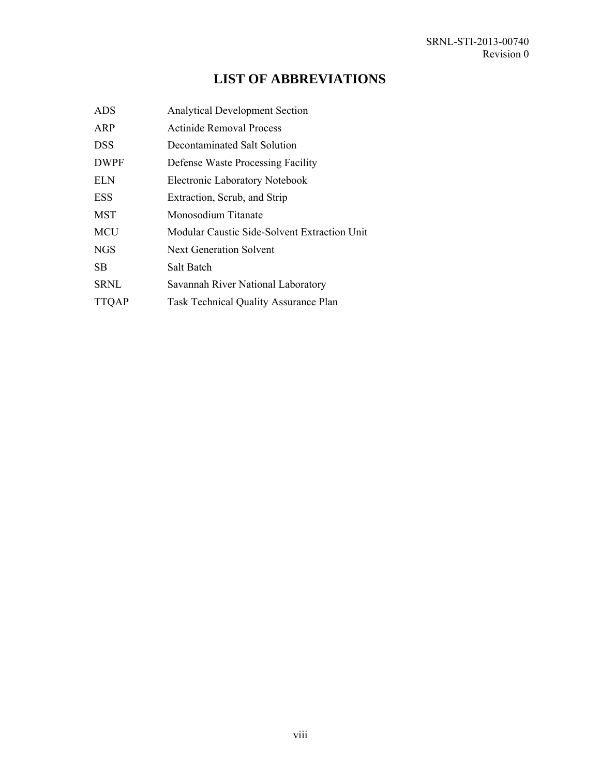## **LIST OF ABBREVIATIONS**

| <b>ADS</b>   | <b>Analytical Development Section</b>        |
|--------------|----------------------------------------------|
| <b>ARP</b>   | <b>Actinide Removal Process</b>              |
| <b>DSS</b>   | Decontaminated Salt Solution                 |
| <b>DWPF</b>  | Defense Waste Processing Facility            |
| <b>ELN</b>   | Electronic Laboratory Notebook               |
| <b>ESS</b>   | Extraction, Scrub, and Strip                 |
| <b>MST</b>   | Monosodium Titanate                          |
| MCU          | Modular Caustic Side-Solvent Extraction Unit |
| <b>NGS</b>   | Next Generation Solvent                      |
| <b>SB</b>    | Salt Batch                                   |
| <b>SRNL</b>  | Savannah River National Laboratory           |
| <b>TTQAP</b> | <b>Task Technical Quality Assurance Plan</b> |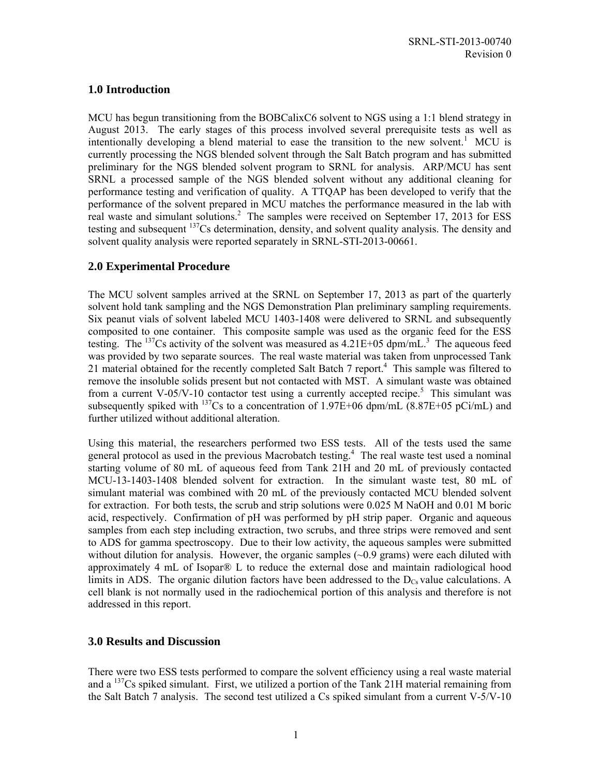### **1.0 Introduction**

MCU has begun transitioning from the BOBCalixC6 solvent to NGS using a 1:1 blend strategy in August 2013. The early stages of this process involved several prerequisite tests as well as intentionally developing a blend material to ease the transition to the new solvent.<sup>1</sup> MCU is currently processing the NGS blended solvent through the Salt Batch program and has submitted preliminary for the NGS blended solvent program to SRNL for analysis. ARP/MCU has sent SRNL a processed sample of the NGS blended solvent without any additional cleaning for performance testing and verification of quality. A TTQAP has been developed to verify that the performance of the solvent prepared in MCU matches the performance measured in the lab with real waste and simulant solutions.<sup>2</sup> The samples were received on September 17, 2013 for ESS testing and subsequent <sup>137</sup>Cs determination, density, and solvent quality analysis. The density and solvent quality analysis were reported separately in SRNL-STI-2013-00661.

### **2.0 Experimental Procedure**

The MCU solvent samples arrived at the SRNL on September 17, 2013 as part of the quarterly solvent hold tank sampling and the NGS Demonstration Plan preliminary sampling requirements. Six peanut vials of solvent labeled MCU 1403-1408 were delivered to SRNL and subsequently composited to one container. This composite sample was used as the organic feed for the ESS testing. The  $^{137}$ Cs activity of the solvent was measured as  $4.21E+05$  dpm/mL.<sup>3</sup> The aqueous feed was provided by two separate sources. The real waste material was taken from unprocessed Tank 21 material obtained for the recently completed Salt Batch 7 report.<sup>4</sup> This sample was filtered to remove the insoluble solids present but not contacted with MST. A simulant waste was obtained from a current V-05/V-10 contactor test using a currently accepted recipe.<sup>5</sup> This simulant was subsequently spiked with <sup>137</sup>Cs to a concentration of 1.97E+06 dpm/mL  $(8.87E+05 \text{ pCi/mL})$  and further utilized without additional alteration.

Using this material, the researchers performed two ESS tests. All of the tests used the same general protocol as used in the previous Macrobatch testing.<sup>4</sup> The real waste test used a nominal starting volume of 80 mL of aqueous feed from Tank 21H and 20 mL of previously contacted MCU-13-1403-1408 blended solvent for extraction. In the simulant waste test, 80 mL of simulant material was combined with 20 mL of the previously contacted MCU blended solvent for extraction. For both tests, the scrub and strip solutions were 0.025 M NaOH and 0.01 M boric acid, respectively. Confirmation of pH was performed by pH strip paper. Organic and aqueous samples from each step including extraction, two scrubs, and three strips were removed and sent to ADS for gamma spectroscopy. Due to their low activity, the aqueous samples were submitted without dilution for analysis. However, the organic samples  $(\sim 0.9 \text{ grams})$  were each diluted with approximately 4 mL of Isopar® L to reduce the external dose and maintain radiological hood limits in ADS. The organic dilution factors have been addressed to the  $D_{Cs}$  value calculations. A cell blank is not normally used in the radiochemical portion of this analysis and therefore is not addressed in this report.

### **3.0 Results and Discussion**

There were two ESS tests performed to compare the solvent efficiency using a real waste material and a  $^{137}$ Cs spiked simulant. First, we utilized a portion of the Tank 21H material remaining from the Salt Batch 7 analysis. The second test utilized a Cs spiked simulant from a current V-5/V-10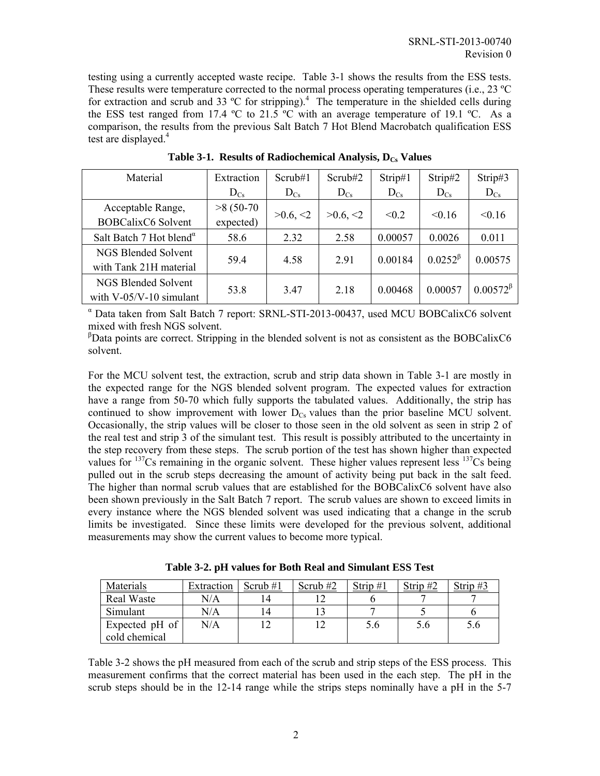testing using a currently accepted waste recipe. Table 3-1 shows the results from the ESS tests. These results were temperature corrected to the normal process operating temperatures (i.e., 23 °C) for extraction and scrub and 33  $^{\circ}$ C for stripping).<sup>4</sup> The temperature in the shielded cells during the ESS test ranged from 17.4 °C to 21.5 °C with an average temperature of 19.1 °C. As a comparison, the results from the previous Salt Batch 7 Hot Blend Macrobatch qualification ESS test are displayed.<sup>4</sup>

| Material                                              | Extraction  | Scrub#1        | Scrub#2        | Strip#1  | Strip#2          | Strip#3       |
|-------------------------------------------------------|-------------|----------------|----------------|----------|------------------|---------------|
|                                                       | $D_{Cs}$    | $D_{Cs}$       | $D_{Cs}$       | $D_{Cs}$ | $D_{Cs}$         | $D_{Cs}$      |
| Acceptable Range,                                     | $>8(50-70)$ |                |                |          | < 0.16           |               |
| <b>BOBCalixC6</b> Solvent                             | expected)   | $>0.6, \leq 2$ | $>0.6, \leq 2$ | < 0.2    |                  | < 0.16        |
| Salt Batch 7 Hot blend <sup><math>\alpha</math></sup> | 58.6        | 2.32           | 2.58           | 0.00057  | 0.0026           | 0.011         |
| NGS Blended Solvent                                   |             |                |                |          | $0.0252^{\beta}$ |               |
| with Tank 21H material                                | 59.4        | 4.58           | 2.91           | 0.00184  |                  | 0.00575       |
| NGS Blended Solvent                                   |             |                |                |          |                  | $0.00572^{8}$ |
| with $V-05/V-10$ simulant                             | 53.8        | 3.47           | 2.18           | 0.00468  | 0.00057          |               |

Table 3-1. Results of Radiochemical Analysis, D<sub>Cs</sub> Values

α Data taken from Salt Batch 7 report: SRNL-STI-2013-00437, used MCU BOBCalixC6 solvent mixed with fresh NGS solvent.

 $\beta$ Data points are correct. Stripping in the blended solvent is not as consistent as the BOBCalixC6 solvent.

For the MCU solvent test, the extraction, scrub and strip data shown in Table 3-1 are mostly in the expected range for the NGS blended solvent program. The expected values for extraction have a range from 50-70 which fully supports the tabulated values. Additionally, the strip has continued to show improvement with lower  $D_{Cs}$  values than the prior baseline MCU solvent. Occasionally, the strip values will be closer to those seen in the old solvent as seen in strip 2 of the real test and strip 3 of the simulant test. This result is possibly attributed to the uncertainty in the step recovery from these steps. The scrub portion of the test has shown higher than expected values for  $^{137}Cs$  remaining in the organic solvent. These higher values represent less  $^{137}Cs$  being pulled out in the scrub steps decreasing the amount of activity being put back in the salt feed. The higher than normal scrub values that are established for the BOBCalixC6 solvent have also been shown previously in the Salt Batch 7 report. The scrub values are shown to exceed limits in every instance where the NGS blended solvent was used indicating that a change in the scrub limits be investigated. Since these limits were developed for the previous solvent, additional measurements may show the current values to become more typical.

|  |  |  |  |  |  |  |  |  | Table 3-2. pH values for Both Real and Simulant ESS Test |  |  |
|--|--|--|--|--|--|--|--|--|----------------------------------------------------------|--|--|
|--|--|--|--|--|--|--|--|--|----------------------------------------------------------|--|--|

| Materials         | Extraction | Scrub#1        | Scrub#2 | Strip $#1$ | Strip#2 | Strip $#3$ |
|-------------------|------------|----------------|---------|------------|---------|------------|
| <b>Real Waste</b> | N/A        | $\overline{4}$ |         |            |         |            |
| Simulant          | N/A        | 4              |         |            |         |            |
| Expected pH of    | N/A        |                |         |            | 5.6     | 5.6        |
| cold chemical     |            |                |         |            |         |            |

Table 3-2 shows the pH measured from each of the scrub and strip steps of the ESS process. This measurement confirms that the correct material has been used in the each step. The pH in the scrub steps should be in the 12-14 range while the strips steps nominally have a pH in the 5-7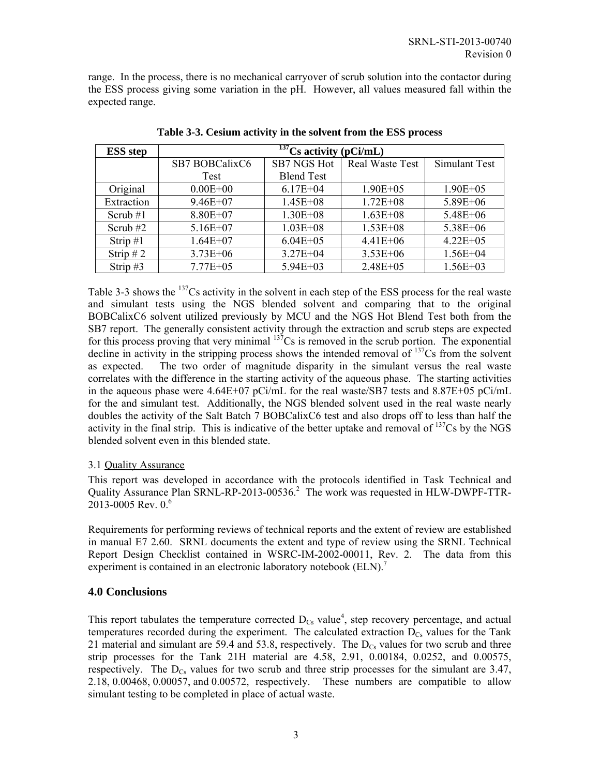range. In the process, there is no mechanical carryover of scrub solution into the contactor during the ESS process giving some variation in the pH. However, all values measured fall within the expected range.

| <b>ESS</b> step | $\frac{137}{137}$ Cs activity (pCi/mL) |                   |                        |               |  |  |  |  |
|-----------------|----------------------------------------|-------------------|------------------------|---------------|--|--|--|--|
|                 | SB7 BOBCalixC6                         | SB7 NGS Hot       | <b>Real Waste Test</b> | Simulant Test |  |  |  |  |
|                 | Test                                   | <b>Blend Test</b> |                        |               |  |  |  |  |
| Original        | $0.00E + 00$                           | $6.17E + 04$      | $1.90E + 05$           | $1.90E + 05$  |  |  |  |  |
| Extraction      | $9.46E + 07$                           | $1.45E + 08$      | $1.72E + 08$           | $5.89E + 06$  |  |  |  |  |
| Scrub $#1$      | 8.80E+07                               | $1.30E + 08$      | $1.63E + 08$           | $5.48E + 06$  |  |  |  |  |
| Scrub $#2$      | $5.16E+07$                             | $1.03E + 08$      | $1.53E + 08$           | $5.38E + 06$  |  |  |  |  |
| Strip $#1$      | $1.64E + 07$                           | $6.04E + 05$      | $4.41E + 06$           | $4.22E + 05$  |  |  |  |  |
| Strip $#2$      | $3.73E + 06$                           | $3.27E + 04$      | $3.53E + 06$           | $1.56E + 04$  |  |  |  |  |
| Strip $#3$      | $7.77E + 05$                           | $5.94E + 03$      | $2.48E + 05$           | $1.56E + 03$  |  |  |  |  |

**Table 3-3. Cesium activity in the solvent from the ESS process** 

Table 3-3 shows the <sup>137</sup>Cs activity in the solvent in each step of the ESS process for the real waste and simulant tests using the NGS blended solvent and comparing that to the original BOBCalixC6 solvent utilized previously by MCU and the NGS Hot Blend Test both from the SB7 report. The generally consistent activity through the extraction and scrub steps are expected for this process proving that very minimal  $13^{7}Cs$  is removed in the scrub portion. The exponential decline in activity in the stripping process shows the intended removal of  $^{137}Cs$  from the solvent as expected. The two order of magnitude disparity in the simulant versus the real waste correlates with the difference in the starting activity of the aqueous phase. The starting activities in the aqueous phase were 4.64E+07 pCi/mL for the real waste/SB7 tests and 8.87E+05 pCi/mL for the and simulant test. Additionally, the NGS blended solvent used in the real waste nearly doubles the activity of the Salt Batch 7 BOBCalixC6 test and also drops off to less than half the activity in the final strip. This is indicative of the better uptake and removal of  $^{137}Cs$  by the NGS blended solvent even in this blended state.

#### 3.1 Quality Assurance

This report was developed in accordance with the protocols identified in Task Technical and Quality Assurance Plan SRNL-RP-2013-00536.<sup>2</sup> The work was requested in HLW-DWPF-TTR- $2013 - 0005$  Rev. 0.<sup>6</sup>

Requirements for performing reviews of technical reports and the extent of review are established in manual E7 2.60. SRNL documents the extent and type of review using the SRNL Technical Report Design Checklist contained in WSRC-IM-2002-00011, Rev. 2. The data from this experiment is contained in an electronic laboratory notebook (ELN).<sup>7</sup>

### **4.0 Conclusions**

This report tabulates the temperature corrected  $D_{Cs}$  value<sup>4</sup>, step recovery percentage, and actual temperatures recorded during the experiment. The calculated extraction  $D_{Cs}$  values for the Tank 21 material and simulant are 59.4 and 53.8, respectively. The  $D_{Cs}$  values for two scrub and three strip processes for the Tank 21H material are 4.58, 2.91, 0.00184, 0.0252, and 0.00575, respectively. The  $D_{Cs}$  values for two scrub and three strip processes for the simulant are 3.47, 2.18, 0.00468, 0.00057, and 0.00572, respectively. These numbers are compatible to allow simulant testing to be completed in place of actual waste.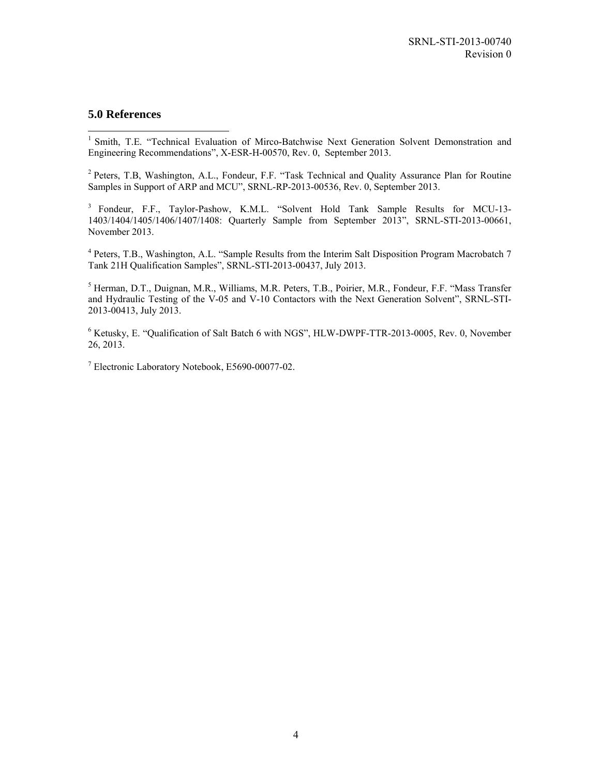### **5.0 References**

<sup>1</sup> Smith, T.E. "Technical Evaluation of Mirco-Batchwise Next Generation Solvent Demonstration and Engineering Recommendations", X-ESR-H-00570, Rev. 0, September 2013.

<sup>2</sup> Peters, T.B, Washington, A.L., Fondeur, F.F. "Task Technical and Quality Assurance Plan for Routine Samples in Support of ARP and MCU", SRNL-RP-2013-00536, Rev. 0, September 2013.

3 Fondeur, F.F., Taylor-Pashow, K.M.L. "Solvent Hold Tank Sample Results for MCU-13- 1403/1404/1405/1406/1407/1408: Quarterly Sample from September 2013", SRNL-STI-2013-00661, November 2013.

<sup>4</sup> Peters, T.B., Washington, A.L. "Sample Results from the Interim Salt Disposition Program Macrobatch 7 Tank 21H Qualification Samples", SRNL-STI-2013-00437, July 2013.

5 Herman, D.T., Duignan, M.R., Williams, M.R. Peters, T.B., Poirier, M.R., Fondeur, F.F. "Mass Transfer and Hydraulic Testing of the V-05 and V-10 Contactors with the Next Generation Solvent", SRNL-STI-2013-00413, July 2013.

<sup>6</sup> Ketusky, E. "Qualification of Salt Batch 6 with NGS", HLW-DWPF-TTR-2013-0005, Rev. 0, November 26, 2013.

7 Electronic Laboratory Notebook, E5690-00077-02.